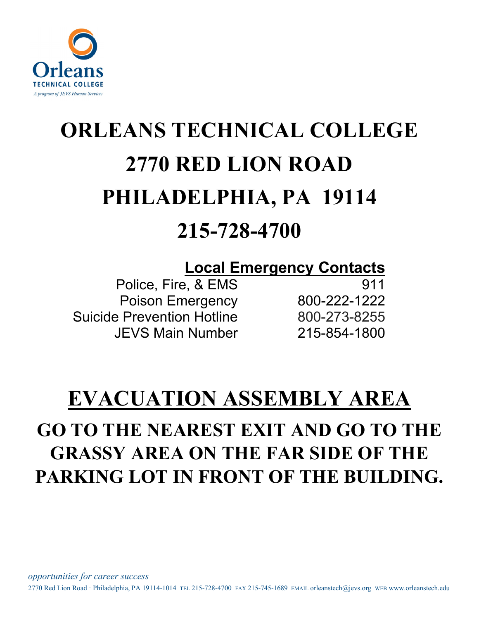

# **ORLEANS TECHNICAL COLLEGE 2770 RED LION ROAD PHILADELPHIA, PA 19114 215-728-4700**

# **Local Emergency Contacts**

Police, Fire, & EMS 911 Poison Emergency Suicide Prevention Hotline JEVS Main Number

800-222-1222 800-273-8255 215-854-1800

# **EVACUATION ASSEMBLY AREA**

# **GO TO THE NEAREST EXIT AND GO TO THE GRASSY AREA ON THE FAR SIDE OF THE PARKING LOT IN FRONT OF THE BUILDING.**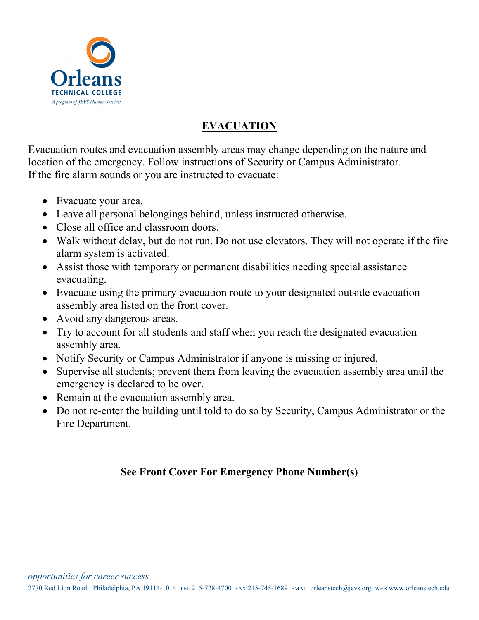

# **EVACUATION**

Evacuation routes and evacuation assembly areas may change depending on the nature and location of the emergency. Follow instructions of Security or Campus Administrator. If the fire alarm sounds or you are instructed to evacuate:

- Evacuate your area.
- Leave all personal belongings behind, unless instructed otherwise.
- Close all office and classroom doors.
- Walk without delay, but do not run. Do not use elevators. They will not operate if the fire alarm system is activated.
- Assist those with temporary or permanent disabilities needing special assistance evacuating.
- Evacuate using the primary evacuation route to your designated outside evacuation assembly area listed on the front cover.
- Avoid any dangerous areas.
- Try to account for all students and staff when you reach the designated evacuation assembly area.
- Notify Security or Campus Administrator if anyone is missing or injured.
- Supervise all students; prevent them from leaving the evacuation assembly area until the emergency is declared to be over.
- Remain at the evacuation assembly area.
- Do not re-enter the building until told to do so by Security, Campus Administrator or the Fire Department.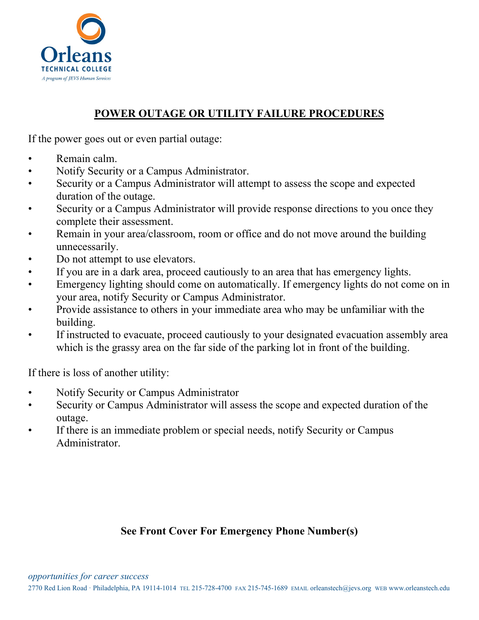

# **POWER OUTAGE OR UTILITY FAILURE PROCEDURES**

If the power goes out or even partial outage:

- Remain calm.
- Notify Security or a Campus Administrator.
- Security or a Campus Administrator will attempt to assess the scope and expected duration of the outage.
- Security or a Campus Administrator will provide response directions to you once they complete their assessment.
- Remain in your area/classroom, room or office and do not move around the building unnecessarily.
- Do not attempt to use elevators.
- If you are in a dark area, proceed cautiously to an area that has emergency lights.
- Emergency lighting should come on automatically. If emergency lights do not come on in your area, notify Security or Campus Administrator.
- Provide assistance to others in your immediate area who may be unfamiliar with the building.
- If instructed to evacuate, proceed cautiously to your designated evacuation assembly area which is the grassy area on the far side of the parking lot in front of the building.

If there is loss of another utility:

- Notify Security or Campus Administrator
- Security or Campus Administrator will assess the scope and expected duration of the outage.
- If there is an immediate problem or special needs, notify Security or Campus Administrator.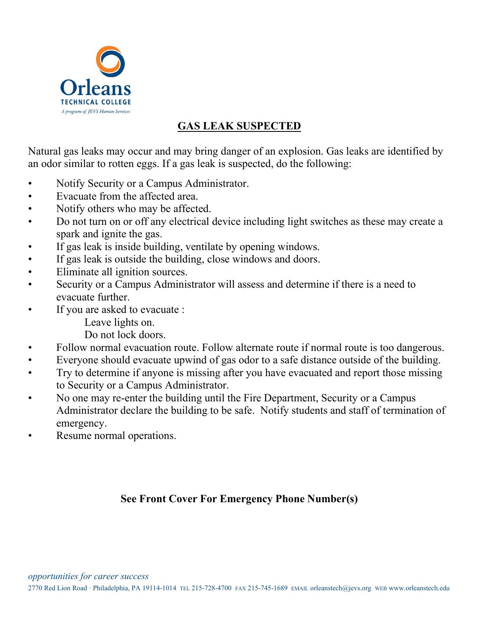

# **GAS LEAK SUSPECTED**

Natural gas leaks may occur and may bring danger of an explosion. Gas leaks are identified by an odor similar to rotten eggs. If a gas leak is suspected, do the following:

- Notify Security or a Campus Administrator.
- Evacuate from the affected area.
- Notify others who may be affected.
- Do not turn on or off any electrical device including light switches as these may create a spark and ignite the gas.
- If gas leak is inside building, ventilate by opening windows.
- If gas leak is outside the building, close windows and doors.
- Eliminate all ignition sources.
- Security or a Campus Administrator will assess and determine if there is a need to evacuate further.
- If you are asked to evacuate :
	- Leave lights on.
	- Do not lock doors.
- Follow normal evacuation route. Follow alternate route if normal route is too dangerous.
- Everyone should evacuate upwind of gas odor to a safe distance outside of the building.
- Try to determine if anyone is missing after you have evacuated and report those missing to Security or a Campus Administrator.
- No one may re-enter the building until the Fire Department, Security or a Campus Administrator declare the building to be safe. Notify students and staff of termination of emergency.
- Resume normal operations.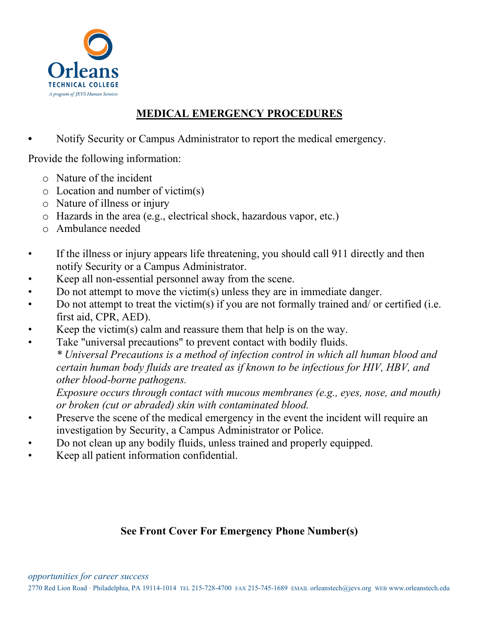

#### **MEDICAL EMERGENCY PROCEDURES**

**•** Notify Security or Campus Administrator to report the medical emergency.

Provide the following information:

- o Nature of the incident
- o Location and number of victim(s)
- o Nature of illness or injury
- o Hazards in the area (e.g., electrical shock, hazardous vapor, etc.)
- o Ambulance needed
- If the illness or injury appears life threatening, you should call 911 directly and then notify Security or a Campus Administrator.
- Keep all non-essential personnel away from the scene.
- Do not attempt to move the victim(s) unless they are in immediate danger.
- Do not attempt to treat the victim(s) if you are not formally trained and/ or certified (i.e. first aid, CPR, AED).
- Keep the victim(s) calm and reassure them that help is on the way.
- Take "universal precautions" to prevent contact with bodily fluids. *\* Universal Precautions is a method of infection control in which all human blood and certain human body fluids are treated as if known to be infectious for HIV, HBV, and other blood-borne pathogens.*

*Exposure occurs through contact with mucous membranes (e.g., eyes, nose, and mouth) or broken (cut or abraded) skin with contaminated blood.*

- Preserve the scene of the medical emergency in the event the incident will require an investigation by Security, a Campus Administrator or Police.
- Do not clean up any bodily fluids, unless trained and properly equipped.
- Keep all patient information confidential.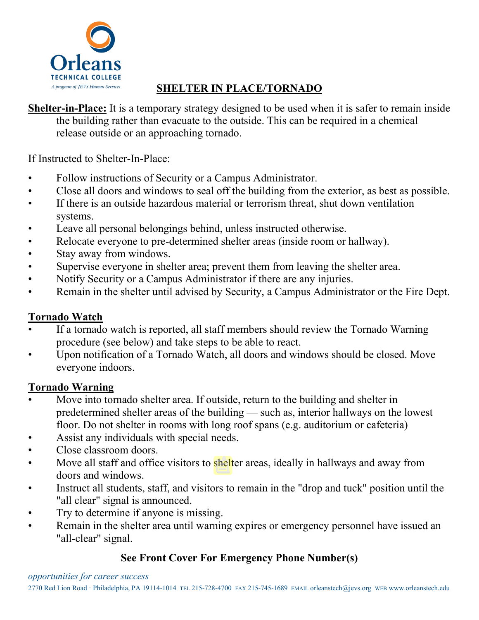

# **SHELTER IN PLACE/TORNADO**

**Shelter-in-Place:** It is a temporary strategy designed to be used when it is safer to remain inside the building rather than evacuate to the outside. This can be required in a chemical release outside or an approaching tornado.

If Instructed to Shelter-In-Place:

- Follow instructions of Security or a Campus Administrator.
- Close all doors and windows to seal off the building from the exterior, as best as possible.
- If there is an outside hazardous material or terrorism threat, shut down ventilation systems.
- Leave all personal belongings behind, unless instructed otherwise.
- Relocate everyone to pre-determined shelter areas (inside room or hallway).
- Stay away from windows.
- Supervise everyone in shelter area; prevent them from leaving the shelter area.
- Notify Security or a Campus Administrator if there are any injuries.
- Remain in the shelter until advised by Security, a Campus Administrator or the Fire Dept.

# **Tornado Watch**

- If a tornado watch is reported, all staff members should review the Tornado Warning procedure (see below) and take steps to be able to react.
- Upon notification of a Tornado Watch, all doors and windows should be closed. Move everyone indoors.

# **Tornado Warning**

- Move into tornado shelter area. If outside, return to the building and shelter in predetermined shelter areas of the building — such as, interior hallways on the lowest floor. Do not shelter in rooms with long roof spans (e.g. auditorium or cafeteria)
- Assist any individuals with special needs.
- Close classroom doors.
- Move all staff and office visitors to shelter areas, ideally in hallways and away from doors and windows.
- Instruct all students, staff, and visitors to remain in the "drop and tuck" position until the "all clear" signal is announced.
- Try to determine if anyone is missing.
- Remain in the shelter area until warning expires or emergency personnel have issued an "all-clear" signal.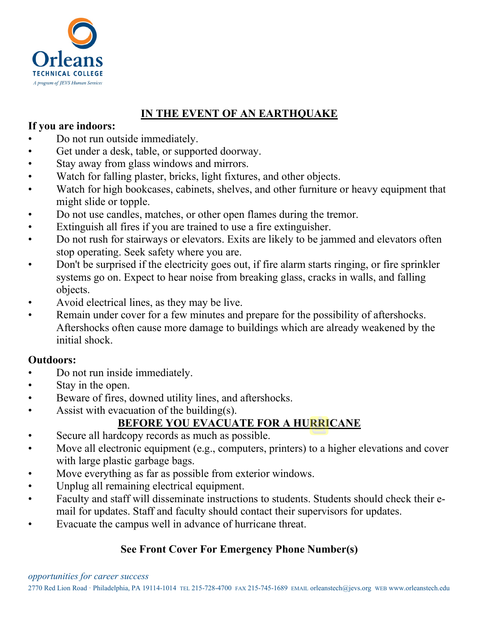

# **IN THE EVENT OF AN EARTHQUAKE**

#### **If you are indoors:**

- Do not run outside immediately.
- Get under a desk, table, or supported doorway.
- Stay away from glass windows and mirrors.
- Watch for falling plaster, bricks, light fixtures, and other objects.
- Watch for high bookcases, cabinets, shelves, and other furniture or heavy equipment that might slide or topple.
- Do not use candles, matches, or other open flames during the tremor.
- Extinguish all fires if you are trained to use a fire extinguisher.
- Do not rush for stairways or elevators. Exits are likely to be jammed and elevators often stop operating. Seek safety where you are.
- Don't be surprised if the electricity goes out, if fire alarm starts ringing, or fire sprinkler systems go on. Expect to hear noise from breaking glass, cracks in walls, and falling objects.
- Avoid electrical lines, as they may be live.
- Remain under cover for a few minutes and prepare for the possibility of aftershocks. Aftershocks often cause more damage to buildings which are already weakened by the initial shock.

#### **Outdoors:**

- Do not run inside immediately.
- Stay in the open.
- Beware of fires, downed utility lines, and aftershocks.
- Assist with evacuation of the building(s).

# **BEFORE YOU EVACUATE FOR A HURRICANE**

- Secure all hardcopy records as much as possible.
- Move all electronic equipment (e.g., computers, printers) to a higher elevations and cover with large plastic garbage bags.
- Move everything as far as possible from exterior windows.
- Unplug all remaining electrical equipment.
- Faculty and staff will disseminate instructions to students. Students should check their email for updates. Staff and faculty should contact their supervisors for updates.
- Evacuate the campus well in advance of hurricane threat.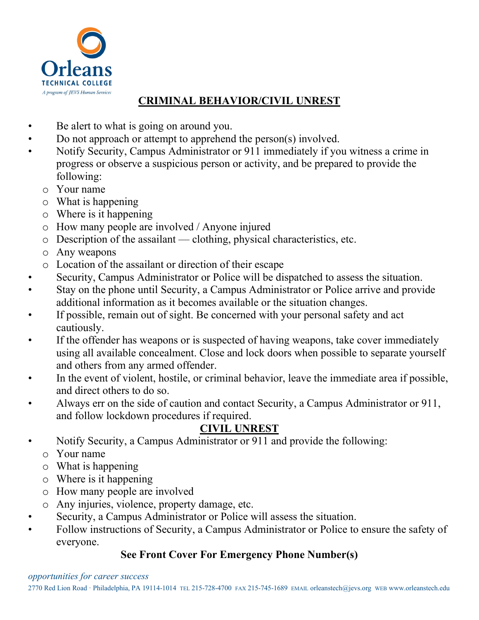

# **CRIMINAL BEHAVIOR/CIVIL UNREST**

- Be alert to what is going on around you.
- Do not approach or attempt to apprehend the person(s) involved.
- Notify Security, Campus Administrator or 911 immediately if you witness a crime in progress or observe a suspicious person or activity, and be prepared to provide the following:
	- o Your name
	- o What is happening
	- o Where is it happening
	- o How many people are involved / Anyone injured
	- o Description of the assailant clothing, physical characteristics, etc.
	- o Any weapons
	- o Location of the assailant or direction of their escape
- Security, Campus Administrator or Police will be dispatched to assess the situation.
- Stay on the phone until Security, a Campus Administrator or Police arrive and provide additional information as it becomes available or the situation changes.
- If possible, remain out of sight. Be concerned with your personal safety and act cautiously.
- If the offender has weapons or is suspected of having weapons, take cover immediately using all available concealment. Close and lock doors when possible to separate yourself and others from any armed offender.
- In the event of violent, hostile, or criminal behavior, leave the immediate area if possible, and direct others to do so.
- Always err on the side of caution and contact Security, a Campus Administrator or 911, and follow lockdown procedures if required.

# **CIVIL UNREST**

- Notify Security, a Campus Administrator or 911 and provide the following:
	- o Your name
	- o What is happening
	- o Where is it happening
	- o How many people are involved
	- o Any injuries, violence, property damage, etc.
- Security, a Campus Administrator or Police will assess the situation.
- Follow instructions of Security, a Campus Administrator or Police to ensure the safety of everyone.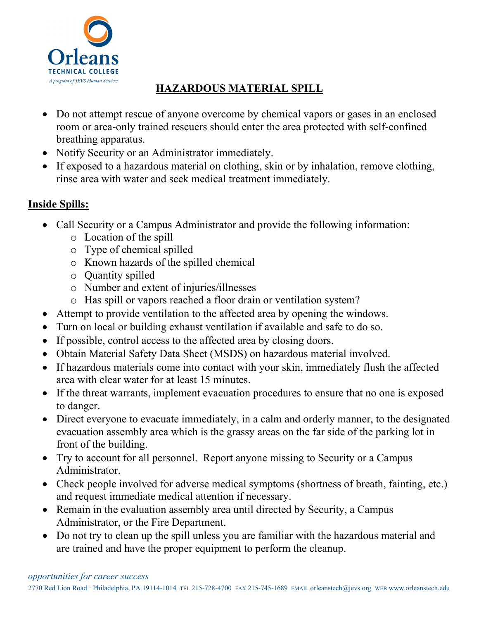

# **HAZARDOUS MATERIAL SPILL**

- Do not attempt rescue of anyone overcome by chemical vapors or gases in an enclosed room or area-only trained rescuers should enter the area protected with self-confined breathing apparatus.
- Notify Security or an Administrator immediately.
- If exposed to a hazardous material on clothing, skin or by inhalation, remove clothing, rinse area with water and seek medical treatment immediately.

#### **Inside Spills:**

- Call Security or a Campus Administrator and provide the following information:
	- o Location of the spill
	- o Type of chemical spilled
	- o Known hazards of the spilled chemical
	- o Quantity spilled
	- o Number and extent of injuries/illnesses
	- o Has spill or vapors reached a floor drain or ventilation system?
- Attempt to provide ventilation to the affected area by opening the windows.
- Turn on local or building exhaust ventilation if available and safe to do so.
- If possible, control access to the affected area by closing doors.
- Obtain Material Safety Data Sheet (MSDS) on hazardous material involved.
- If hazardous materials come into contact with your skin, immediately flush the affected area with clear water for at least 15 minutes.
- If the threat warrants, implement evacuation procedures to ensure that no one is exposed to danger.
- Direct everyone to evacuate immediately, in a calm and orderly manner, to the designated evacuation assembly area which is the grassy areas on the far side of the parking lot in front of the building.
- Try to account for all personnel. Report anyone missing to Security or a Campus Administrator.
- Check people involved for adverse medical symptoms (shortness of breath, fainting, etc.) and request immediate medical attention if necessary.
- Remain in the evaluation assembly area until directed by Security, a Campus Administrator, or the Fire Department.
- Do not try to clean up the spill unless you are familiar with the hazardous material and are trained and have the proper equipment to perform the cleanup.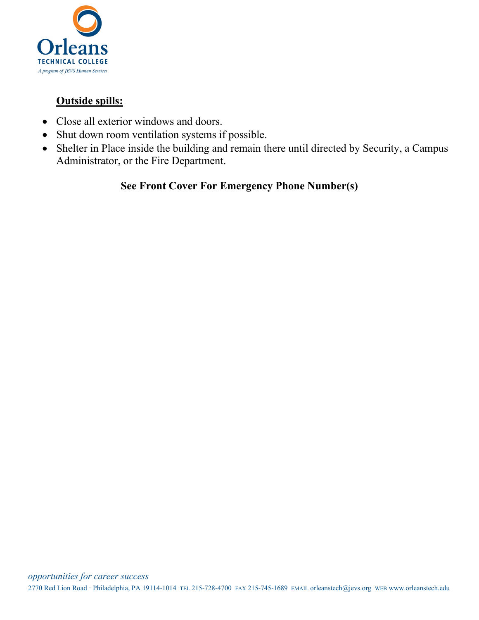

#### **Outside spills:**

- Close all exterior windows and doors.
- Shut down room ventilation systems if possible.
- Shelter in Place inside the building and remain there until directed by Security, a Campus Administrator, or the Fire Department.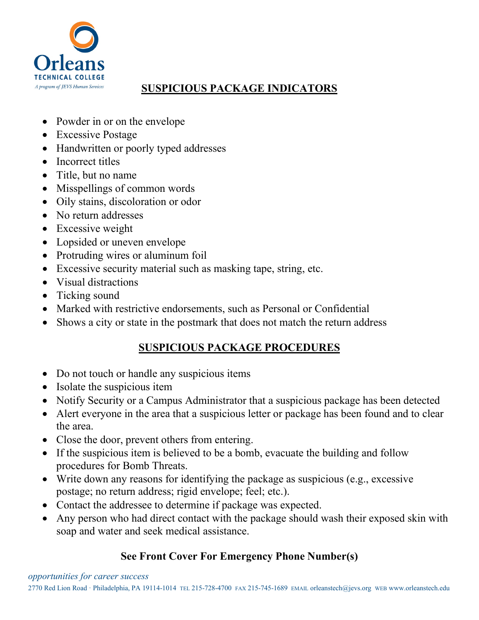

# **SUSPICIOUS PACKAGE INDICATORS**

- Powder in or on the envelope
- Excessive Postage
- Handwritten or poorly typed addresses
- Incorrect titles
- Title, but no name
- Misspellings of common words
- Oily stains, discoloration or odor
- No return addresses
- Excessive weight
- Lopsided or uneven envelope
- Protruding wires or aluminum foil
- Excessive security material such as masking tape, string, etc.
- Visual distractions
- Ticking sound
- Marked with restrictive endorsements, such as Personal or Confidential
- Shows a city or state in the postmark that does not match the return address

# **SUSPICIOUS PACKAGE PROCEDURES**

- Do not touch or handle any suspicious items
- Isolate the suspicious item
- Notify Security or a Campus Administrator that a suspicious package has been detected
- Alert everyone in the area that a suspicious letter or package has been found and to clear the area.
- Close the door, prevent others from entering.
- If the suspicious item is believed to be a bomb, evacuate the building and follow procedures for Bomb Threats.
- Write down any reasons for identifying the package as suspicious (e.g., excessive postage; no return address; rigid envelope; feel; etc.).
- Contact the addressee to determine if package was expected.
- Any person who had direct contact with the package should wash their exposed skin with soap and water and seek medical assistance.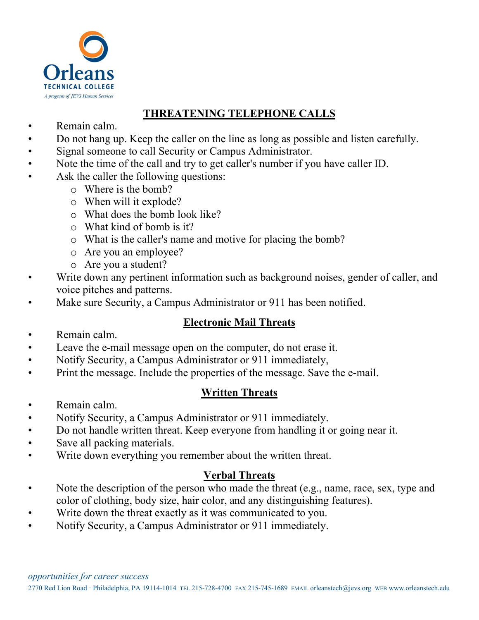

# **THREATENING TELEPHONE CALLS**

- Remain calm.
- Do not hang up. Keep the caller on the line as long as possible and listen carefully.
- Signal someone to call Security or Campus Administrator.
- Note the time of the call and try to get caller's number if you have caller ID.
- Ask the caller the following questions:
	- o Where is the bomb?
	- o When will it explode?
	- o What does the bomb look like?
	- $\circ$  What kind of bomb is it?
	- o What is the caller's name and motive for placing the bomb?
	- o Are you an employee?
	- o Are you a student?
- Write down any pertinent information such as background noises, gender of caller, and voice pitches and patterns.
- Make sure Security, a Campus Administrator or 911 has been notified.

# **Electronic Mail Threats**

- Remain calm.
- Leave the e-mail message open on the computer, do not erase it.
- Notify Security, a Campus Administrator or 911 immediately,
- Print the message. Include the properties of the message. Save the e-mail.

# **Written Threats**

- Remain calm.
- Notify Security, a Campus Administrator or 911 immediately.
- Do not handle written threat. Keep everyone from handling it or going near it.
- Save all packing materials.
- Write down everything you remember about the written threat.

# **Verbal Threats**

- Note the description of the person who made the threat (e.g., name, race, sex, type and color of clothing, body size, hair color, and any distinguishing features).
- Write down the threat exactly as it was communicated to you.
- Notify Security, a Campus Administrator or 911 immediately.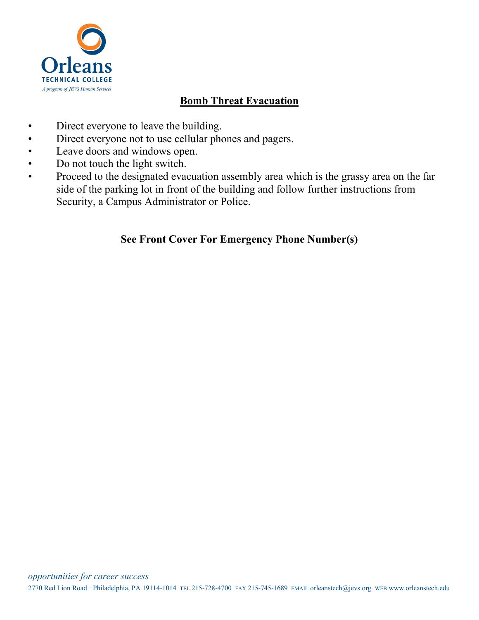

#### **Bomb Threat Evacuation**

- Direct everyone to leave the building.
- Direct everyone not to use cellular phones and pagers.
- Leave doors and windows open.
- Do not touch the light switch.
- Proceed to the designated evacuation assembly area which is the grassy area on the far side of the parking lot in front of the building and follow further instructions from Security, a Campus Administrator or Police.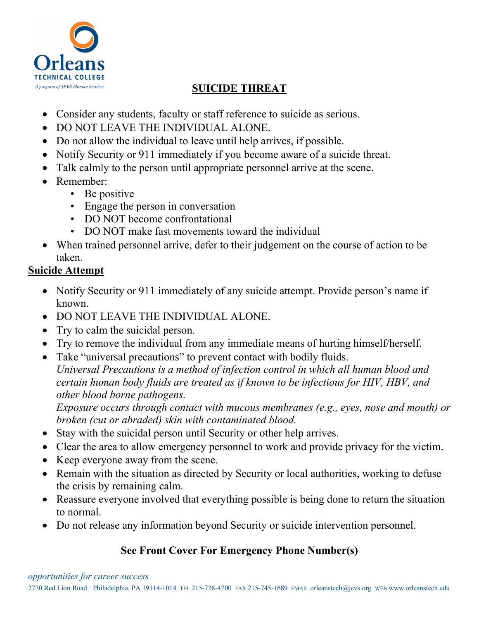

# **SUICIDE THREAT**

- Consider any students, faculty or staff reference to suicide as serious.
- DO NOT LEAVE THE INDIVIDUAL ALONE.
- Do not allow the individual to leave until help arrives, if possible.
- Notify Security or 911 immediately if you become aware of a suicide threat.
- Talk calmly to the person until appropriate personnel arrive at the scene.
- Remember:
	- Be positive
	- Engage the person in conversation
	- DO NOT become confrontational
	- DO NOT make fast movements toward the individual
- When trained personnel arrive, defer to their judgement on the course of action to be taken.

#### **Suicide Attempt**

- Notify Security or 911 immediately of any suicide attempt. Provide person's name if known.
- DO NOT LEAVE THE INDIVIDUAL ALONE.
- Try to calm the suicidal person.
- Try to remove the individual from any immediate means of hurting himself/herself.
- Take "universal precautions" to prevent contact with bodily fluids. *Universal Precautions is a method of infection control in which all human blood and certain human body fluids are treated as if known to be infectious for HIV, HBV, and other blood borne pathogens.*

*Exposure occurs through contact with mucous membranes (e.g., eyes, nose and mouth) or broken (cut or abraded) skin with contaminated blood.*

- Stay with the suicidal person until Security or other help arrives.
- Clear the area to allow emergency personnel to work and provide privacy for the victim.
- Keep everyone away from the scene.
- Remain with the situation as directed by Security or local authorities, working to defuse the crisis by remaining calm.
- Reassure everyone involved that everything possible is being done to return the situation to normal.
- Do not release any information beyond Security or suicide intervention personnel.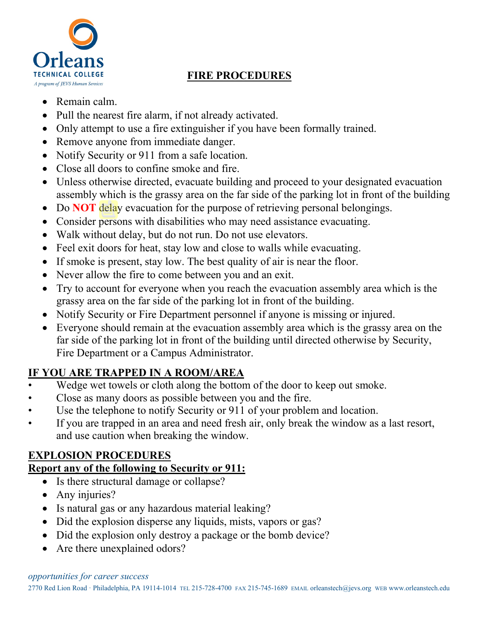

# **FIRE PROCEDURES**

- Remain calm.
- Pull the nearest fire alarm, if not already activated.
- Only attempt to use a fire extinguisher if you have been formally trained.
- Remove anyone from immediate danger.
- Notify Security or 911 from a safe location.
- Close all doors to confine smoke and fire.
- Unless otherwise directed, evacuate building and proceed to your designated evacuation assembly which is the grassy area on the far side of the parking lot in front of the building
- Do **NOT** delay evacuation for the purpose of retrieving personal belongings.
- Consider persons with disabilities who may need assistance evacuating.
- Walk without delay, but do not run. Do not use elevators.
- Feel exit doors for heat, stay low and close to walls while evacuating.
- If smoke is present, stay low. The best quality of air is near the floor.
- Never allow the fire to come between you and an exit.
- Try to account for everyone when you reach the evacuation assembly area which is the grassy area on the far side of the parking lot in front of the building.
- Notify Security or Fire Department personnel if anyone is missing or injured.
- Everyone should remain at the evacuation assembly area which is the grassy area on the far side of the parking lot in front of the building until directed otherwise by Security, Fire Department or a Campus Administrator.

# **IF YOU ARE TRAPPED IN A ROOM/AREA**

- Wedge wet towels or cloth along the bottom of the door to keep out smoke.
- Close as many doors as possible between you and the fire.
- Use the telephone to notify Security or 911 of your problem and location.
- If you are trapped in an area and need fresh air, only break the window as a last resort, and use caution when breaking the window.

#### **EXPLOSION PROCEDURES Report any of the following to Security or 911:**

- Is there structural damage or collapse?
- Any injuries?
- Is natural gas or any hazardous material leaking?
- Did the explosion disperse any liquids, mists, vapors or gas?
- Did the explosion only destroy a package or the bomb device?
- Are there unexplained odors?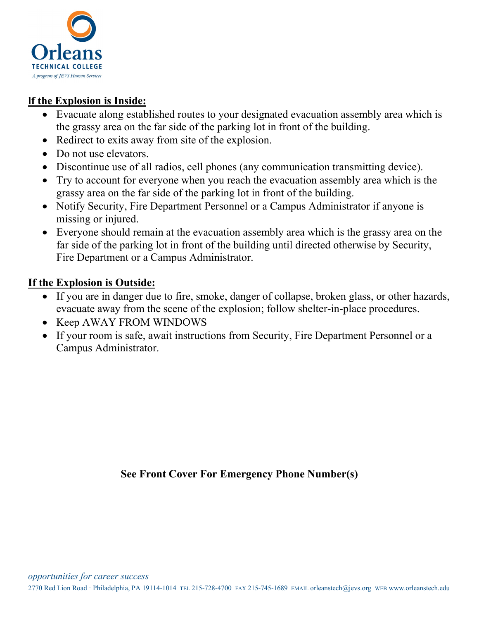

#### **lf the Explosion is Inside:**

- Evacuate along established routes to your designated evacuation assembly area which is the grassy area on the far side of the parking lot in front of the building.
- Redirect to exits away from site of the explosion.
- Do not use elevators.
- Discontinue use of all radios, cell phones (any communication transmitting device).
- Try to account for everyone when you reach the evacuation assembly area which is the grassy area on the far side of the parking lot in front of the building.
- Notify Security, Fire Department Personnel or a Campus Administrator if anyone is missing or injured.
- Everyone should remain at the evacuation assembly area which is the grassy area on the far side of the parking lot in front of the building until directed otherwise by Security, Fire Department or a Campus Administrator.

#### **If the Explosion is Outside:**

- If you are in danger due to fire, smoke, danger of collapse, broken glass, or other hazards, evacuate away from the scene of the explosion; follow shelter-in-place procedures.
- Keep AWAY FROM WINDOWS
- If your room is safe, await instructions from Security, Fire Department Personnel or a Campus Administrator.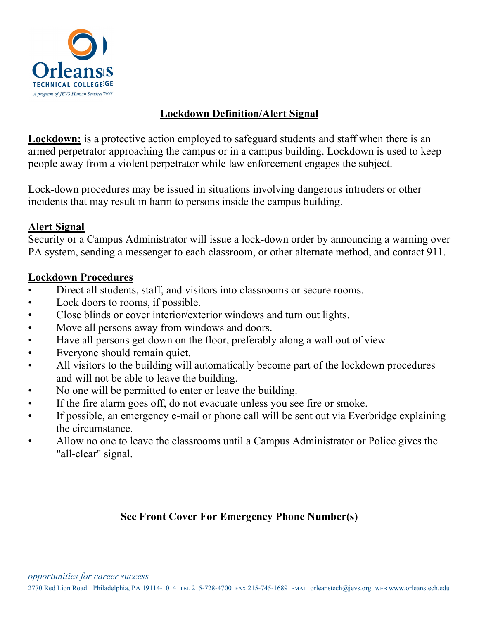

#### **Lockdown Definition/Alert Signal**

Lockdown: is a protective action employed to safeguard students and staff when there is an armed perpetrator approaching the campus or in a campus building. Lockdown is used to keep people away from a violent perpetrator while law enforcement engages the subject.

Lock-down procedures may be issued in situations involving dangerous intruders or other incidents that may result in harm to persons inside the campus building.

#### **Alert Signal**

Security or a Campus Administrator will issue a lock-down order by announcing a warning over PA system, sending a messenger to each classroom, or other alternate method, and contact 911.

#### **Lockdown Procedures**

- Direct all students, staff, and visitors into classrooms or secure rooms.
- Lock doors to rooms, if possible.
- Close blinds or cover interior/exterior windows and turn out lights.
- Move all persons away from windows and doors.
- Have all persons get down on the floor, preferably along a wall out of view.
- Everyone should remain quiet.
- All visitors to the building will automatically become part of the lockdown procedures and will not be able to leave the building.
- No one will be permitted to enter or leave the building.
- If the fire alarm goes off, do not evacuate unless you see fire or smoke.
- If possible, an emergency e-mail or phone call will be sent out via Everbridge explaining the circumstance.
- Allow no one to leave the classrooms until a Campus Administrator or Police gives the "all-clear" signal.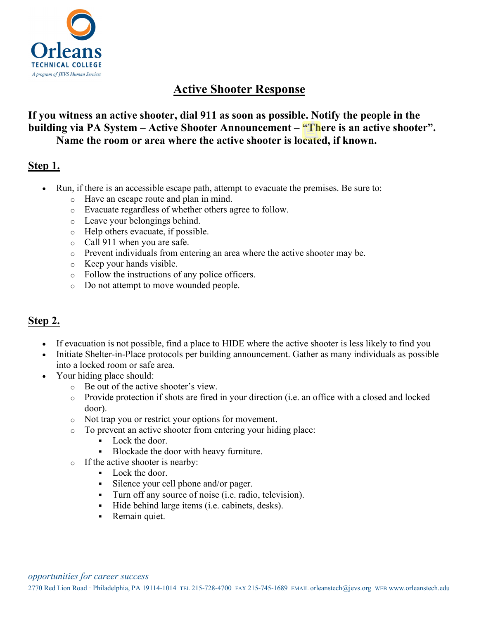

# **Active Shooter Response**

#### **If you witness an active shooter, dial 911 as soon as possible. Notify the people in the building via PA System – Active Shooter Announcement – "There is an active shooter". Name the room or area where the active shooter is located, if known.**

#### **Step 1.**

- Run, if there is an accessible escape path, attempt to evacuate the premises. Be sure to:
	- o Have an escape route and plan in mind.
	- o Evacuate regardless of whether others agree to follow.
	- o Leave your belongings behind.
	- o Help others evacuate, if possible.
	- o Call 911 when you are safe.
	- o Prevent individuals from entering an area where the active shooter may be.
	- o Keep your hands visible.
	- o Follow the instructions of any police officers.
	- o Do not attempt to move wounded people.

#### **Step 2.**

- If evacuation is not possible, find a place to HIDE where the active shooter is less likely to find you
- Initiate Shelter-in-Place protocols per building announcement. Gather as many individuals as possible into a locked room or safe area.
- Your hiding place should:
	- o Be out of the active shooter's view.
	- o Provide protection if shots are fired in your direction (i.e. an office with a closed and locked door).
	- o Not trap you or restrict your options for movement.
	- o To prevent an active shooter from entering your hiding place:
		- Lock the door.
		- Blockade the door with heavy furniture.
	- o If the active shooter is nearby:
		- Lock the door.
		- Silence your cell phone and/or pager.
		- Turn off any source of noise (i.e. radio, television).
		- Hide behind large items (i.e. cabinets, desks).
		- Remain quiet.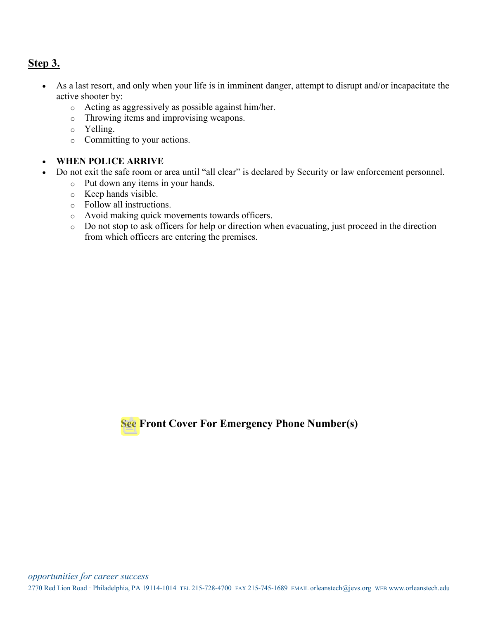#### **Step 3.**

- As a last resort, and only when your life is in imminent danger, attempt to disrupt and/or incapacitate the active shooter by:
	- o Acting as aggressively as possible against him/her.
	- o Throwing items and improvising weapons.
	- o Yelling.
	- o Committing to your actions.

#### • **WHEN POLICE ARRIVE**

- Do not exit the safe room or area until "all clear" is declared by Security or law enforcement personnel.
	- o Put down any items in your hands.
	- o Keep hands visible.
	- o Follow all instructions.
	- o Avoid making quick movements towards officers.
	- o Do not stop to ask officers for help or direction when evacuating, just proceed in the direction from which officers are entering the premises.